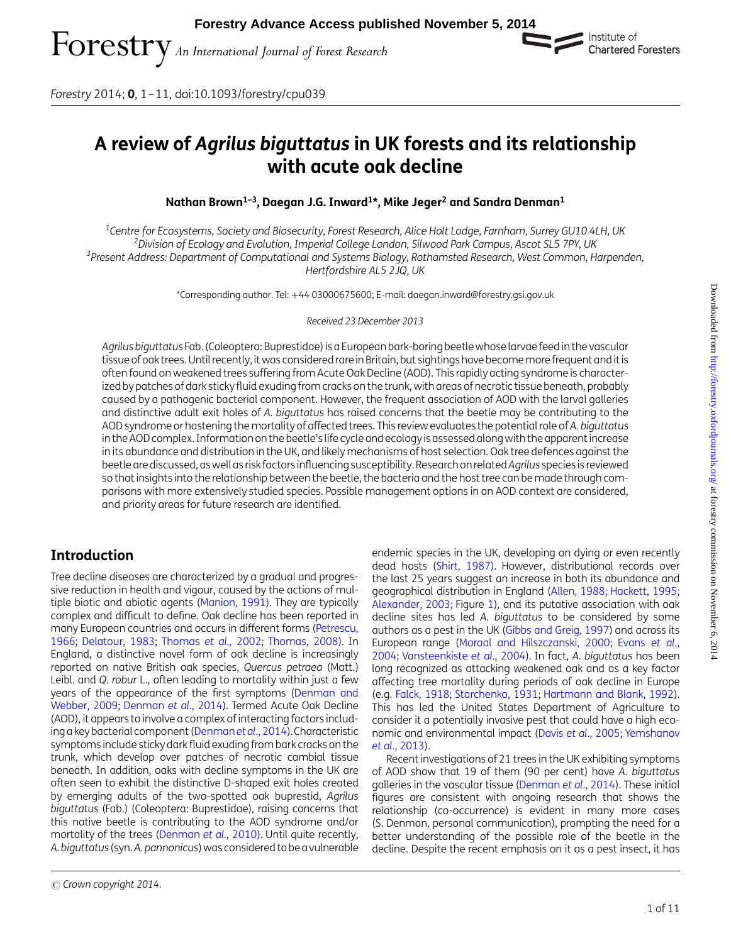

Forestry 2014; **0**, 1–11, doi:10.1093/forestry/cpu039

# A review of Agrilus biguttatus in UK forests and its relationship with acute oak decline

Nathan Brown<sup>1–3</sup>, Daegan J.G. Inward<sup>1\*</sup>, Mike Jeger<sup>2</sup> and Sandra Denman<sup>1</sup>

<sup>1</sup>Centre for Ecosystems, Society and Biosecurity, Forest Research, Alice Holt Lodge, Farnham, Surrey GU10 4LH, UK<br><sup>2</sup> Division of Ecology and Evolution, Imperial Colloge London, Silwood Park Campus, Ascot SL5, 7PY, LIK  $^2$ Division of Ecology and Evolution, Imperial College London, Silwood Park Campus, Ascot SL5 7PY, UK <sup>3</sup> Present Address: Department of Computational and Systems Biology, Rothamsted Research, West Common, Harpenden, Hertfordshire AL5 2JQ, UK

\*Corresponding author. Tel: +44 03000675600; E-mail: daegan.inward@forestry.gsi.gov.uk

Received 23 December 2013

Agrilus biguttatus Fab. (Coleoptera: Buprestidae) is a European bark-boring beetle whose larvae feed in the vascular tissue of oak trees. Until recently, it was considered rare in Britain, but sightings have becomemore frequent and it is often found on weakened trees suffering from Acute Oak Decline (AOD). This rapidly acting syndrome is characterized by patches of dark sticky fluid exuding from cracks on the trunk, with areas of necrotic tissue beneath, probably caused by a pathogenic bacterial component. However, the frequent association of AOD with the larval galleries and distinctive adult exit holes of A. biguttatus has raised concerns that the beetle may be contributing to the AOD syndrome or hastening the mortality of affected trees. This review evaluates the potential role of A. biguttatus in the AOD complex. Information on the beetle's life cycle and ecology is assessed along with the apparent increase in its abundance and distribution in the UK, and likely mechanisms of host selection. Oak tree defences against the beetle are discussed, as well as risk factors influencing susceptibility. Research on related Agrilus species is reviewed so that insights into the relationship between the beetle, the bacteria and the host tree can be made through comparisons with more extensively studied species. Possible management options in an AOD context are considered, and priority areas for future research are identified.

### Introduction

Tree decline diseases are characterized by a gradual and progressive reduction in health and vigour, caused by the actions of multiple biotic and abiotic agents ([Manion, 1991\).](#page-10-0) They are typically complex and difficult to define. Oak decline has been reported in many European countries and occurs in different forms ([Petrescu,](#page-10-0) [1966](#page-10-0); [Delatour, 1983;](#page-8-0) [Thomas](#page-10-0) et al., 2002; [Thomas, 2008](#page-10-0)). In England, a distinctive novel form of oak decline is increasingly reported on native British oak species, Quercus petraea (Matt.) Leibl. and Q. robur L., often leading to mortality within just a few years of the appearance of the first symptoms ([Denman and](#page-8-0) [Webber, 2009;](#page-8-0) [Denman](#page-8-0) et al., 2014). Termed Acute Oak Decline (AOD), it appears to involve a complex of interacting factors including a key bacterial component ([Denman](#page-8-0)et al., 2014).Characteristic symptoms include sticky dark fluid exuding from bark cracks on the trunk, which develop over patches of necrotic cambial tissue beneath. In addition, oaks with decline symptoms in the UK are often seen to exhibit the distinctive D-shaped exit holes created by emerging adults of the two-spotted oak buprestid, Agrilus biguttatus (Fab.) (Coleoptera: Buprestidae), raising concerns that this native beetle is contributing to the AOD syndrome and/or mortality of the trees [\(Denman](#page-8-0) et al., 2010). Until quite recently, A. biguttatus (syn.A. pannonicus) was considered to be avulnerable

endemic species in the UK, developing on dying or even recently dead hosts ([Shirt, 1987\)](#page-10-0). However, distributional records over the last 25 years suggest an increase in both its abundance and geographical distribution in England ([Allen, 1988](#page-8-0); [Hackett, 1995;](#page-9-0) [Alexander, 2003](#page-8-0); Figure [1\)](#page-2-0), and its putative association with oak decline sites has led A. biguttatus to be considered by some authors as a pest in the UK ([Gibbs and Greig, 1997\)](#page-9-0) and across its European range ([Moraal and Hilszczanski, 2000](#page-10-0); [Evans](#page-9-0) et al., [2004](#page-9-0); [Vansteenkiste](#page-10-0) et al., 2004). In fact, A. biguttatus has been long recognized as attacking weakened oak and as a key factor affecting tree mortality during periods of oak decline in Europe (e.g. [Falck, 1918;](#page-9-0) [Starchenko, 1931](#page-10-0); [Hartmann and Blank, 1992\)](#page-9-0). This has led the United States Department of Agriculture to consider it a potentially invasive pest that could have a high economic and environmental impact (Davis et al[., 2005;](#page-8-0) [Yemshanov](#page-10-0) et al[., 2013\)](#page-10-0).

Recent investigations of 21 trees in the UK exhibiting symptoms of AOD show that 19 of them (90 per cent) have A. biguttatus galleries in the vascular tissue [\(Denman](#page-8-0) et al., 2014). These initial figures are consistent with ongoing research that shows the relationship (co-occurrence) is evident in many more cases (S. Denman, personal communication), prompting the need for a better understanding of the possible role of the beetle in the decline. Despite the recent emphasis on it as a pest insect, it has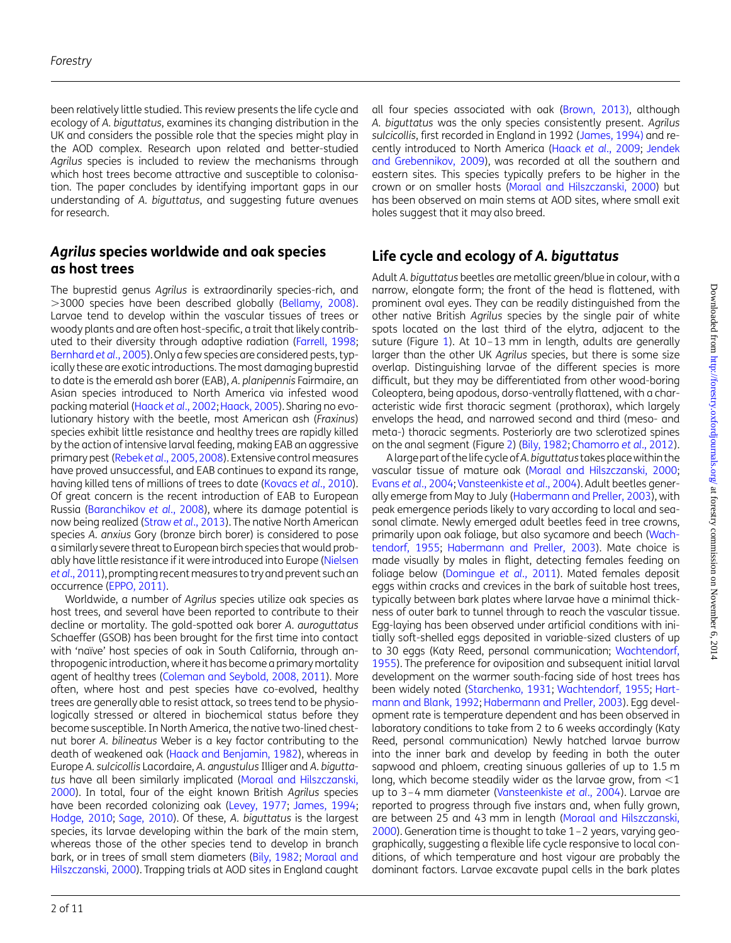been relatively little studied. This review presents the life cycle and ecology of A. biguttatus, examines its changing distribution in the UK and considers the possible role that the species might play in the AOD complex. Research upon related and better-studied Agrilus species is included to review the mechanisms through which host trees become attractive and susceptible to colonisation. The paper concludes by identifying important gaps in our understanding of A. biguttatus, and suggesting future avenues for research.

#### Agrilus species worldwide and oak species as host trees

The buprestid genus Agrilus is extraordinarily species-rich, and .3000 species have been described globally ([Bellamy, 2008\)](#page-8-0). Larvae tend to develop within the vascular tissues of trees or woody plants and are often host-specific, a trait that likely contributed to their diversity through adaptive radiation [\(Farrell, 1998](#page-9-0); [Bernhard](#page-8-0) et al., 2005).Only a few species are considered pests, typically these are exotic introductions. The most damaging buprestid to date is the emerald ash borer (EAB), A. planipennis Fairmaire, an Asian species introduced to North America via infested wood packing material (Haack et al[., 2002](#page-9-0); [Haack, 2005](#page-9-0)). Sharing no evolutionary history with the beetle, most American ash (Fraxinus) species exhibit little resistance and healthy trees are rapidly killed by the action of intensive larval feeding, making EAB an aggressive primary pest (Rebeket al[., 2005,2008\). Extensive control measures](#page-10-0) [have proved unsuccessful, and EAB continues to expand its range,](#page-10-0) [having killed tens of millions of trees to date \(Kovacs](#page-10-0) et al., 2010). [Of great concern is the recent introduction of EAB to European](#page-10-0) [Russia \(Baranchikov](#page-10-0) et al., 2008)[, where its damage potential is](#page-10-0) [now being realized \(Straw](#page-10-0) et al., 2013). [The native North American](#page-10-0) species A. anxius [Gory \(bronze birch borer\) is considered to pose](#page-10-0) [a similarly severe threat to European birch species that would prob](#page-10-0)[ably have little resistance if it were introduced into Europe \(Nielsen](#page-10-0) et al., 2011), prompting recent measures to try and prevent such an [occurrence \(EPPO, 2011\).](#page-10-0)

Worldwide, a number of Agrilus species utilize oak species as host trees, and several have been reported to contribute to their decline or mortality. The gold-spotted oak borer A. auroguttatus Schaeffer (GSOB) has been brought for the first time into contact with 'naïve' host species of oak in South California, through anthropogenic introduction, where it has become a primary mortality agent of healthy trees [\(Coleman and Seybold, 2008, 2011\). More](#page-8-0) [often, where host and pest species have co-evolved, healthy](#page-8-0) [trees are generally able to resist attack, so trees tend to be physio](#page-8-0)[logically stressed or altered in biochemical status before they](#page-8-0) [become susceptible. In North America, the native two-lined chest](#page-8-0)nut borer A. bilineatus [Weber is a key factor contributing to the](#page-8-0) [death of weakened oak \(Haack and Benjamin, 1982\), whereas in](#page-8-0) Europe A. sulcicollis Lacordaire, [A. angustulus](#page-8-0) Illiger and A. biguttatus [have all been similarly implicated \(Moraal and Hilszczanski,](#page-10-0) [2000\). In total, four of the eight known British](#page-8-0) Agrilus species [have been recorded colonizing oak \(Levey, 1977;](#page-8-0) [James, 1994;](#page-8-0) [Hodge, 2010;](#page-8-0) [Sage, 2010\).](#page-8-0) Of these, A. biguttatus [is the largest](#page-8-0) [species, its larvae developing within the bark of the main stem,](#page-8-0) [whereas those of the other species tend to develop in branch](#page-8-0) [bark, or in trees of small stem diameters \(Bily, 1982;](#page-8-0) [Moraal and](#page-10-0) [Hilszczanski, 2000\). Trapping trials at AOD sites in England caught](#page-8-0)

[all four species associated with oak \(Brown, 2013\), although](#page-8-0) A. biguttatus [was the only species consistently present.](#page-8-0) Agrilus sulcicollis[, first recorded in England in 1992 \(James, 1994\)](#page-8-0) [and re](#page-8-0)[cently introduced to North America \(Haack](#page-8-0) et al., 2009; [Jendek](#page-9-0) [and Grebennikov, 2009\), was recorded at all the southern and](#page-8-0) [eastern sites. This species typically prefers to be higher in the](#page-8-0) [crown or on smaller hosts \(Moraal and Hilszczanski, 2000\) but](#page-8-0) [has been observed on main stems at AOD sites, where small exit](#page-8-0) [holes suggest that it may also breed.](#page-8-0)

### Life cycle and ecology of A. biguttatus

Adult A. biguttatus beetles are metallic green/blue in colour, with a narrow, elongate form; the front of the head is flattened, with prominent oval eyes. They can be readily distinguished from the other native British Agrilus species by the single pair of white spots located on the last third of the elytra, adjacent to the suture (Figure [1](#page-2-0)). At 10 –13 mm in length, adults are generally larger than the other UK Agrilus species, but there is some size overlap. Distinguishing larvae of the different species is more difficult, but they may be differentiated from other wood-boring Coleoptera, being apodous, dorso-ventrally flattened, with a characteristic wide first thoracic segment (prothorax), which largely envelops the head, and narrowed second and third (meso- and meta-) thoracic segments. Posteriorly are two sclerotized spines on the anal segment (Figure [2\)](#page-2-0) ([Bily, 1982;](#page-8-0) [Chamorro](#page-8-0) et al., 2012).

A large part of the life cycle of A. biguttatus takes place within the vascular tissue of mature oak [\(Moraal and Hilszczanski, 2000;](#page-10-0) Evans et al[., 2004](#page-9-0); [Vansteenkiste](#page-10-0) et al., 2004). Adult beetles generally emerge from May to July [\(Habermann and Preller, 2003\)](#page-9-0), with peak emergence periods likely to vary according to local and seasonal climate. Newly emerged adult beetles feed in tree crowns, primarily upon oak foliage, but also sycamore and beech ([Wach](#page-10-0)[tendorf, 1955;](#page-10-0) [Habermann and Preller, 2003](#page-9-0)). Mate choice is made visually by males in flight, detecting females feeding on foliage below ([Domingue](#page-8-0) et al., 2011). Mated females deposit eggs within cracks and crevices in the bark of suitable host trees, typically between bark plates where larvae have a minimal thickness of outer bark to tunnel through to reach the vascular tissue. Egg-laying has been observed under artificial conditions with initially soft-shelled eggs deposited in variable-sized clusters of up to 30 eggs (Katy Reed, personal communication; [Wachtendorf,](#page-10-0) [1955](#page-10-0)). The preference for oviposition and subsequent initial larval development on the warmer south-facing side of host trees has been widely noted [\(Starchenko, 1931](#page-10-0); [Wachtendorf, 1955](#page-10-0); [Hart](#page-9-0)[mann and Blank, 1992;](#page-9-0) [Habermann and Preller, 2003\)](#page-9-0). Egg development rate is temperature dependent and has been observed in laboratory conditions to take from 2 to 6 weeks accordingly (Katy Reed, personal communication) Newly hatched larvae burrow into the inner bark and develop by feeding in both the outer sapwood and phloem, creating sinuous galleries of up to 1.5 m long, which become steadily wider as the larvae grow, from  $<$ 1 up to 3-4 mm diameter ([Vansteenkiste](#page-10-0) et al., 2004). Larvae are reported to progress through five instars and, when fully grown, are between 25 and 43 mm in length ([Moraal and Hilszczanski,](#page-10-0) [2000](#page-10-0)). Generation time is thought to take 1 –2 years, varying geographically, suggesting a flexible life cycle responsive to local conditions, of which temperature and host vigour are probably the dominant factors. Larvae excavate pupal cells in the bark plates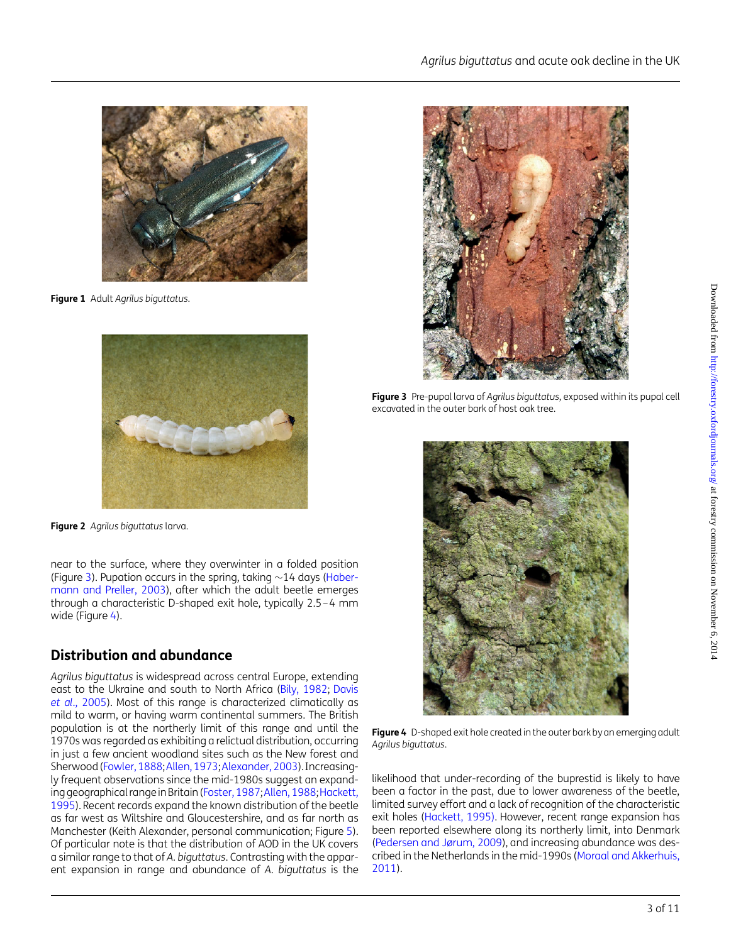<span id="page-2-0"></span>

Figure 1 Adult Agrilus biguttatus.



Figure 2 Agrilus biguttatus larva.

near to the surface, where they overwinter in a folded position (Figure 3). Pupation occurs in the spring, taking  $\sim$ 14 days [\(Haber](#page-9-0)[mann and Preller, 2003](#page-9-0)), after which the adult beetle emerges through a characteristic D-shaped exit hole, typically 2.5 –4 mm wide (Figure 4).

## Distribution and abundance

Agrilus biguttatus is widespread across central Europe, extending east to the Ukraine and south to North Africa ([Bily, 1982](#page-8-0); [Davis](#page-8-0) et al[., 2005](#page-8-0)). Most of this range is characterized climatically as mild to warm, or having warm continental summers. The British population is at the northerly limit of this range and until the 1970s was regarded as exhibiting a relictual distribution, occurring in just a few ancient woodland sites such as the New forest and Sherwood ([Fowler, 1888](#page-9-0);[Allen, 1973;Alexander, 2003\)](#page-8-0).Increasingly frequent observations since the mid-1980s suggest an expand-ing geographical range in Britain [\(Foster, 1987](#page-9-0); [Allen, 1988;](#page-8-0) [Hackett,](#page-9-0) [1995](#page-9-0)). Recent records expand the known distribution of the beetle as far west as Wiltshire and Gloucestershire, and as far north as Manchester (Keith Alexander, personal communication; Figure [5](#page-3-0)). Of particular note is that the distribution of AOD in the UK covers a similar range to that of A. biguttatus. Contrasting with the apparent expansion in range and abundance of A. biguttatus is the



Figure 3 Pre-pupal larva of Agrilus biguttatus, exposed within its pupal cell excavated in the outer bark of host oak tree.



Figure 4 D-shaped exit hole created in the outer bark by an emerging adult Agrilus biguttatus.

likelihood that under-recording of the buprestid is likely to have been a factor in the past, due to lower awareness of the beetle, limited survey effort and a lack of recognition of the characteristic exit holes ([Hackett, 1995\).](#page-9-0) However, recent range expansion has been reported elsewhere along its northerly limit, into Denmark ([Pedersen and Jørum, 2009\)](#page-10-0), and increasing abundance was described in the Netherlands in the mid-1990s ([Moraal and Akkerhuis,](#page-10-0) [2011](#page-10-0)).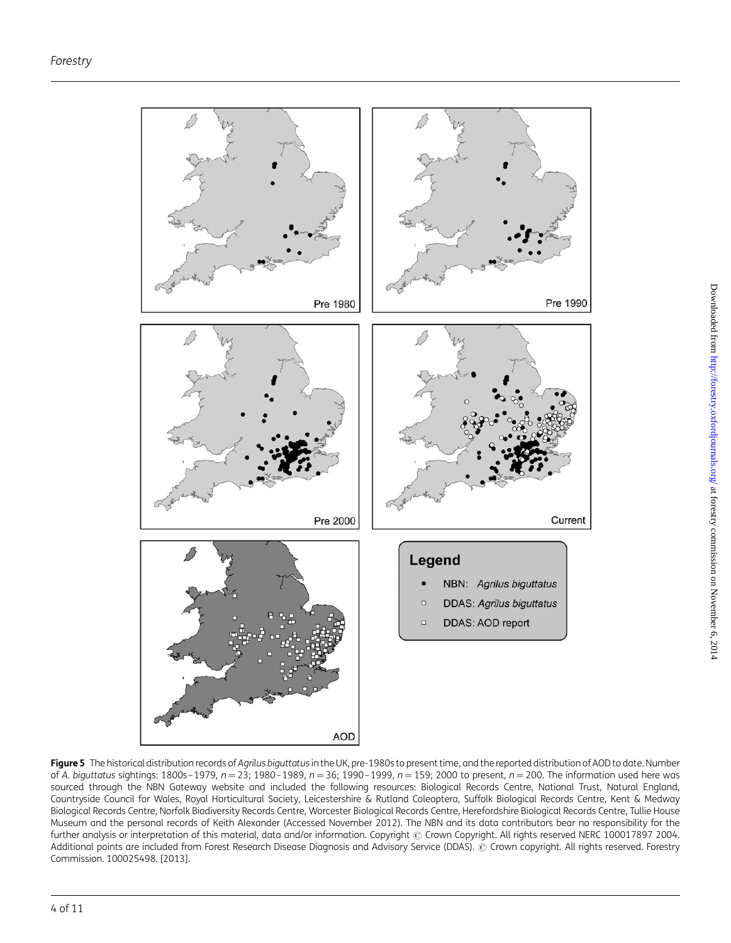<span id="page-3-0"></span>

Figure 5 The historical distribution records of Agrilus biguttatus in the UK, pre-1980s to present time, and the reported distribution of AOD to date. Number of A. biguttatus sightings: 1800s–1979,  $n = 23$ ; 1980–1989,  $n = 36$ ; 1990–1999,  $n = 159$ ; 2000 to present,  $n = 200$ . The information used here was sourced through the NBN Gateway website and included the following resources: Biological Records Centre, National Trust, Natural England, Countryside Council for Wales, Royal Horticultural Society, Leicestershire & Rutland Coleoptera, Suffolk Biological Records Centre, Kent & Medway Biological Records Centre, Norfolk Biodiversity Records Centre, Worcester Biological Records Centre, Herefordshire Biological Records Centre, Tullie House Museum and the personal records of Keith Alexander (Accessed November 2012). The NBN and its data contributors bear no responsibility for the further analysis or interpretation of this material, data and/or information. Copyright @ Crown Copyright. All rights reserved NERC 100017897 2004. Additional points are included from Forest Research Disease Diagnosis and Advisory Service (DDAS). @ Crown copyright. All rights reserved. Forestry Commission. 100025498. [2013].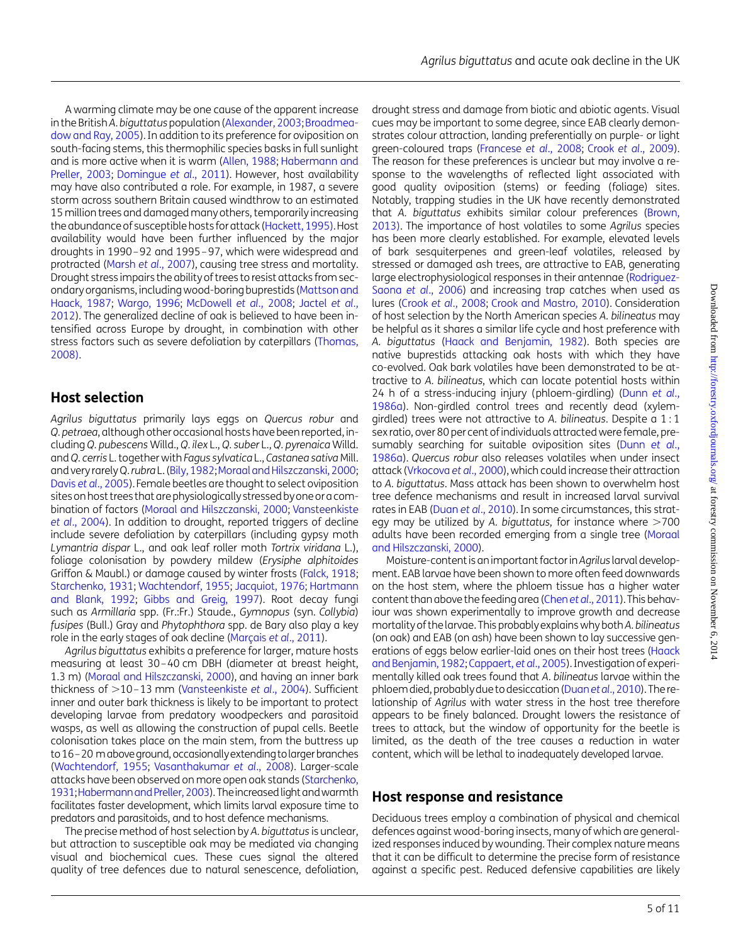A warming climate may be one cause of the apparent increase in the British A. biguttatus population (Alexander, 2003; Broadmea[dow and Ray, 2005](#page-8-0)). In addition to its preference for oviposition on south-facing stems, this thermophilic species basks in full sunlight and is more active when it is warm ([Allen, 1988](#page-8-0); [Habermann and](#page-9-0) [Preller, 2003](#page-9-0); [Domingue](#page-8-0) et al., 2011). However, host availability may have also contributed a role. For example, in 1987, a severe storm across southern Britain caused windthrow to an estimated 15 million trees and damagedmany others, temporarily increasing the abundance of susceptible hosts for attack [\(Hackett, 1995\)](#page-9-0). Host availability would have been further influenced by the major droughts in 1990 –92 and 1995–97, which were widespread and protracted (Marsh et al[., 2007\)](#page-10-0), causing tree stress and mortality. Drought stress impairs the ability of trees to resist attacks from secondary organisms, including wood-boring buprestids [\(Mattson and](#page-10-0) [Haack, 1987](#page-10-0); [Wargo, 1996](#page-10-0); [McDowell](#page-10-0) et al., 2008; [Jactel](#page-9-0) et al., [2012](#page-9-0)). The generalized decline of oak is believed to have been intensified across Europe by drought, in combination with other stress factors such as severe defoliation by caterpillars [\(Thomas,](#page-10-0) [2008\)](#page-10-0).

#### Host selection

Agrilus biguttatus primarily lays eggs on Quercus robur and Q. petraea, although other occasional hosts have been reported, including Q. pubescens Willd., Q. ilex L., Q. suber L., Q. pyrenaica Willd. andQ. cerris L. together with Fagus sylvatica L., Castanea sativa Mill. and very rarelyQ.rubraL. [\(Bily, 1982;](#page-8-0)[Moraal and Hilszczanski, 2000](#page-10-0); Davis et al[., 2005](#page-8-0)). Female beetles are thought to select oviposition sites on host trees that are physiologically stressed byone or a combination of factors [\(Moraal and Hilszczanski, 2000](#page-10-0); [Vansteenkiste](#page-10-0) et al[., 2004](#page-10-0)). In addition to drought, reported triggers of decline include severe defoliation by caterpillars (including gypsy moth Lymantria dispar L., and oak leaf roller moth Tortrix viridana L.), foliage colonisation by powdery mildew (Erysiphe alphitoides Griffon & Maubl.) or damage caused by winter frosts ([Falck, 1918](#page-9-0); [Starchenko, 1931;](#page-10-0) [Wachtendorf, 1955;](#page-10-0) [Jacquiot, 1976;](#page-9-0) [Hartmann](#page-9-0) [and Blank, 1992](#page-9-0); [Gibbs and Greig, 1997](#page-9-0)). Root decay fungi such as Armillaria spp. (Fr.:Fr.) Staude., Gymnopus (syn. Collybia) fusipes (Bull.) Gray and Phytophthora spp. de Bary also play a key role in the early stages of oak decline (Marcais et al., 2011).

Agrilus biguttatus exhibits a preference for larger, mature hosts measuring at least 30 –40 cm DBH (diameter at breast height, 1.3 m) ([Moraal and Hilszczanski, 2000\)](#page-10-0), and having an inner bark thickness of  $>$ 10-13 mm [\(Vansteenkiste](#page-10-0) et al., 2004). Sufficient inner and outer bark thickness is likely to be important to protect developing larvae from predatory woodpeckers and parasitoid wasps, as well as allowing the construction of pupal cells. Beetle colonisation takes place on the main stem, from the buttress up to 16–20 m above ground, occasionallyextending tolarger branches [\(Wachtendorf, 1955;](#page-10-0) [Vasanthakumar](#page-10-0) et al., 2008). Larger-scale attacks have been observed on more open oak stands [\(Starchenko,](#page-10-0) [1931;](#page-10-0)[Habermann and Preller, 2003\)](#page-9-0). Theincreased light andwarmth facilitates faster development, which limits larval exposure time to predators and parasitoids, and to host defence mechanisms.

The precise method of host selection by A. biguttatus is unclear, but attraction to susceptible oak may be mediated via changing visual and biochemical cues. These cues signal the altered quality of tree defences due to natural senescence, defoliation,

drought stress and damage from biotic and abiotic agents. Visual cues may be important to some degree, since EAB clearly demonstrates colour attraction, landing preferentially on purple- or light green-coloured traps [\(Francese](#page-9-0) et al., 2008; Crook et al[., 2009\)](#page-8-0). The reason for these preferences is unclear but may involve a response to the wavelengths of reflected light associated with good quality oviposition (stems) or feeding (foliage) sites. Notably, trapping studies in the UK have recently demonstrated that A. biguttatus exhibits similar colour preferences [\(Brown,](#page-8-0) [2013\)](#page-8-0). The importance of host volatiles to some Agrilus species has been more clearly established. For example, elevated levels of bark sesquiterpenes and green-leaf volatiles, released by stressed or damaged ash trees, are attractive to EAB, generating large electrophysiological responses in their antennae [\(Rodriguez-](#page-10-0)Saona et al[., 2006\)](#page-10-0) and increasing trap catches when used as lures (Crook et al[., 2008](#page-8-0); [Crook and Mastro, 2010](#page-8-0)). Consideration of host selection by the North American species A. bilineatus may be helpful as it shares a similar life cycle and host preference with A. biguttatus ([Haack and Benjamin, 1982\)](#page-9-0). Both species are native buprestids attacking oak hosts with which they have co-evolved. Oak bark volatiles have been demonstrated to be attractive to A. bilineatus, which can locate potential hosts within 24 h of a stress-inducing injury (phloem-girdling) ([Dunn](#page-8-0) et al., [1986a](#page-8-0)). Non-girdled control trees and recently dead (xylemgirdled) trees were not attractive to A. bilineatus. Despite a 1 : 1 sex ratio, over 80 per cent of individuals attracted were female, pre-sumably searching for suitable oviposition sites ([Dunn](#page-8-0) et al., [1986a](#page-8-0)). Quercus robur also releases volatiles when under insect attack [\(Vrkocova](#page-10-0) et al., 2000), which could increase their attraction to A. biguttatus. Mass attack has been shown to overwhelm host tree defence mechanisms and result in increased larval survival rates in EAB (Duan et al[., 2010\)](#page-8-0). In some circumstances, this strategy may be utilized by A. biguttatus, for instance where  $>700$ adults have been recorded emerging from a single tree ([Moraal](#page-10-0) [and Hilszczanski, 2000\)](#page-10-0).

Moisture-content is an important factor inAgrilus larval development. EAB larvae have been shown to more often feed downwards on the host stem, where the phloem tissue has a higher water content than above the feeding area (Chen et al[., 2011\)](#page-8-0).This behaviour was shown experimentally to improve growth and decrease mortality of the larvae. This probably explains why both A. bilineatus (on oak) and EAB (on ash) have been shown to lay successive generations of eggs below earlier-laid ones on their host trees ([Haack](#page-9-0) [and Benjamin, 1982;](#page-9-0)[Cappaert,](#page-8-0) et al., 2005). Investigation of experimentally killed oak trees found that A. bilineatus larvae within the phloem died, probablydue to desiccation (Duanet al[., 2010\)](#page-8-0). The relationship of Agrilus with water stress in the host tree therefore appears to be finely balanced. Drought lowers the resistance of trees to attack, but the window of opportunity for the beetle is limited, as the death of the tree causes a reduction in water content, which will be lethal to inadequately developed larvae.

#### Host response and resistance

Deciduous trees employ a combination of physical and chemical defences against wood-boring insects, many of which are generalized responses induced by wounding. Their complex nature means that it can be difficult to determine the precise form of resistance against a specific pest. Reduced defensive capabilities are likely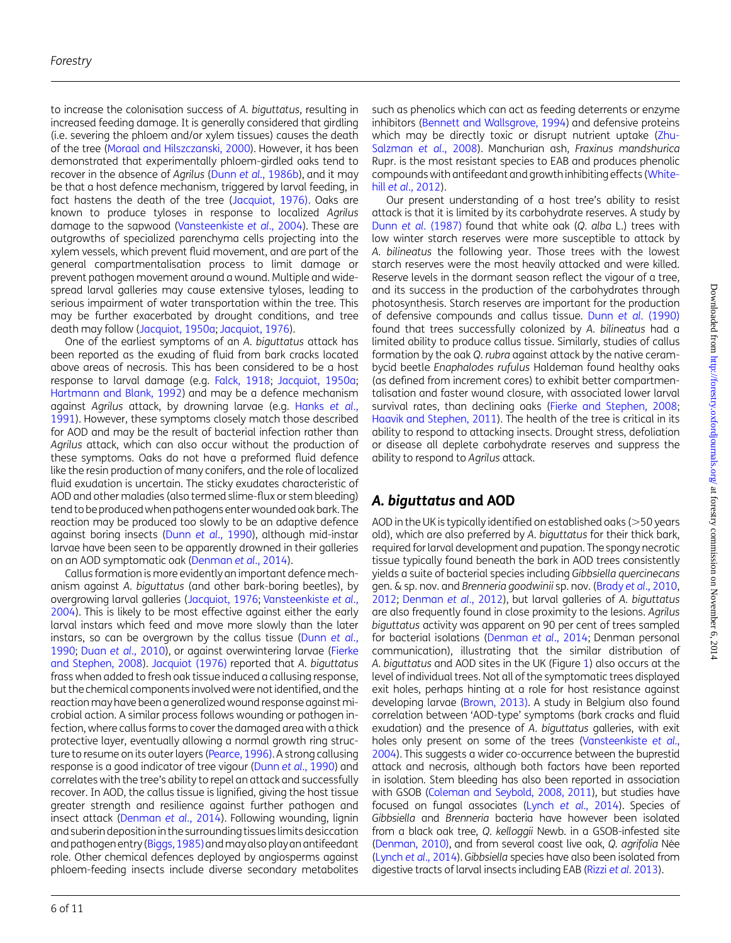to increase the colonisation success of A. biguttatus, resulting in increased feeding damage. It is generally considered that girdling (i.e. severing the phloem and/or xylem tissues) causes the death of the tree [\(Moraal and Hilszczanski, 2000\)](#page-10-0). However, it has been demonstrated that experimentally phloem-girdled oaks tend to recover in the absence of Agrilus (Dunn et al.[, 1986b](#page-9-0)), and it may be that a host defence mechanism, triggered by larval feeding, in fact hastens the death of the tree ([Jacquiot, 1976\)](#page-9-0). Oaks are known to produce tyloses in response to localized Agrilus damage to the sapwood [\(Vansteenkiste](#page-10-0) et al., 2004). These are outgrowths of specialized parenchyma cells projecting into the xylem vessels, which prevent fluid movement, and are part of the general compartmentalisation process to limit damage or prevent pathogen movement around a wound. Multiple and widespread larval galleries may cause extensive tyloses, leading to serious impairment of water transportation within the tree. This may be further exacerbated by drought conditions, and tree death may follow ([Jacquiot, 1950a](#page-9-0); [Jacquiot, 1976\)](#page-9-0).

One of the earliest symptoms of an A. biguttatus attack has been reported as the exuding of fluid from bark cracks located above areas of necrosis. This has been considered to be a host response to larval damage (e.g. [Falck, 1918;](#page-9-0) [Jacquiot, 1950a](#page-9-0); [Hartmann and Blank, 1992\)](#page-9-0) and may be a defence mechanism against Agrilus attack, by drowning larvae (e.g. [Hanks](#page-9-0) et al., [1991](#page-9-0)). However, these symptoms closely match those described for AOD and may be the result of bacterial infection rather than Agrilus attack, which can also occur without the production of these symptoms. Oaks do not have a preformed fluid defence like the resin production of many conifers, and the role of localized fluid exudation is uncertain. The sticky exudates characteristic of AOD and other maladies (also termed slime-flux or stem bleeding) tend to be produced when pathogens enter wounded oak bark. The reaction may be produced too slowly to be an adaptive defence against boring insects (Dunn et al[., 1990](#page-9-0)), although mid-instar larvae have been seen to be apparently drowned in their galleries on an AOD symptomatic oak ([Denman](#page-8-0) et al., 2014).

Callus formation is more evidently an important defence mechanism against A. biguttatus (and other bark-boring beetles), by overgrowing larval galleries [\(Jacquiot, 1976](#page-9-0); [Vansteenkiste](#page-10-0) et al., [2004](#page-10-0)). This is likely to be most effective against either the early larval instars which feed and move more slowly than the later instars, so can be overgrown by the callus tissue [\(Dunn](#page-9-0) et al., [1990](#page-9-0); Duan et al[., 2010](#page-8-0)), or against overwintering larvae ([Fierke](#page-9-0) [and Stephen, 2008](#page-9-0)). [Jacquiot \(1976\)](#page-9-0) reported that A. biguttatus frass when added to fresh oak tissue induced a callusing response, but the chemical components involved were not identified, and the reaction may have been a generalized wound response against microbial action. A similar process follows wounding or pathogen infection, where callus forms to cover the damaged area with a thick protective layer, eventually allowing a normal growth ring structure to resume on its outer layers ([Pearce, 1996\)](#page-10-0). A strong callusing response is a good indicator of tree vigour (Dunn et al[., 1990](#page-9-0)) and correlates with the tree's ability to repel an attack and successfully recover. In AOD, the callus tissue is lignified, giving the host tissue greater strength and resilience against further pathogen and insect attack ([Denman](#page-8-0) et al., 2014). Following wounding, lignin and suberin deposition in the surrounding tissues limits desiccation and pathogen entry ([Biggs, 1985\)](#page-8-0) and may also play an antifeedant role. Other chemical defences deployed by angiosperms against phloem-feeding insects include diverse secondary metabolites

such as phenolics which can act as feeding deterrents or enzyme inhibitors ([Bennett and Wallsgrove, 1994](#page-8-0)) and defensive proteins which may be directly toxic or disrupt nutrient uptake [\(Zhu-](#page-10-0)[Salzman](#page-10-0) et al., 2008). Manchurian ash, Fraxinus mandshurica Rupr. is the most resistant species to EAB and produces phenolic compounds with antifeedant and growth inhibiting effects ([White](#page-10-0)hill et al[., 2012](#page-10-0)).

Our present understanding of a host tree's ability to resist attack is that it is limited by its carbohydrate reserves. A study by Dunn et al[. \(1987\)](#page-9-0) found that white oak (Q. alba L.) trees with low winter starch reserves were more susceptible to attack by A. bilineatus the following year. Those trees with the lowest starch reserves were the most heavily attacked and were killed. Reserve levels in the dormant season reflect the vigour of a tree, and its success in the production of the carbohydrates through photosynthesis. Starch reserves are important for the production of defensive compounds and callus tissue. Dunn et al[. \(1990\)](#page-9-0) found that trees successfully colonized by A. bilineatus had a limited ability to produce callus tissue. Similarly, studies of callus formation by the oak Q. rubra against attack by the native cerambycid beetle Enaphalodes rufulus Haldeman found healthy oaks (as defined from increment cores) to exhibit better compartmentalisation and faster wound closure, with associated lower larval survival rates, than declining oaks [\(Fierke and Stephen, 2008;](#page-9-0) [Haavik and Stephen, 2011](#page-9-0)). The health of the tree is critical in its ability to respond to attacking insects. Drought stress, defoliation or disease all deplete carbohydrate reserves and suppress the ability to respond to Agrilus attack.

### A. biguttatus and AOD

AOD in the UK is typically identified on established oaks ( $>50$  years old), which are also preferred by A. biguttatus for their thick bark, required for larval development and pupation. The spongy necrotic tissue typically found beneath the bark in AOD trees consistently yields a suite of bacterial species including Gibbsiella quercinecans gen. & sp. nov. and Brenneria goodwinii sp. nov. (Brady et al[., 2010,](#page-8-0) [2012](#page-8-0); [Denman](#page-8-0) et al., 2012), but larval galleries of A. biguttatus are also frequently found in close proximity to the lesions. Agrilus biguttatus activity was apparent on 90 per cent of trees sampled for bacterial isolations [\(Denman](#page-8-0) et al., 2014; Denman personal communication), illustrating that the similar distribution of A. biguttatus and AOD sites in the UK (Figure [1](#page-2-0)) also occurs at the level of individual trees. Not all of the symptomatic trees displayed exit holes, perhaps hinting at a role for host resistance against developing larvae ([Brown, 2013\)](#page-8-0). A study in Belgium also found correlation between 'AOD-type' symptoms (bark cracks and fluid exudation) and the presence of A. biguttatus galleries, with exit holes only present on some of the trees [\(Vansteenkiste](#page-10-0) et al., [2004](#page-10-0)). This suggests a wider co-occurrence between the buprestid attack and necrosis, although both factors have been reported in isolation. Stem bleeding has also been reported in association with GSOB [\(Coleman and Seybold, 2008, 2011\), but studies have](#page-8-0) [focused on fungal associates \(Lynch](#page-8-0) et al., 2014)[. Species of](#page-8-0) Gibbsiella and Brenneria [bacteria have however been isolated](#page-8-0) [from a black oak tree,](#page-8-0) Q. kelloggii [Newb. in a GSOB-infested site](#page-8-0) [\(Denman, 2010\), and from several coast live oak,](#page-8-0) Q. agrifolia Née (Lynch et al[., 2014\).](#page-8-0) Gibbsiella [species have also been isolated from](#page-8-0) [digestive tracts of larval insects including EAB \(Rizzi](#page-8-0) et al. 2013).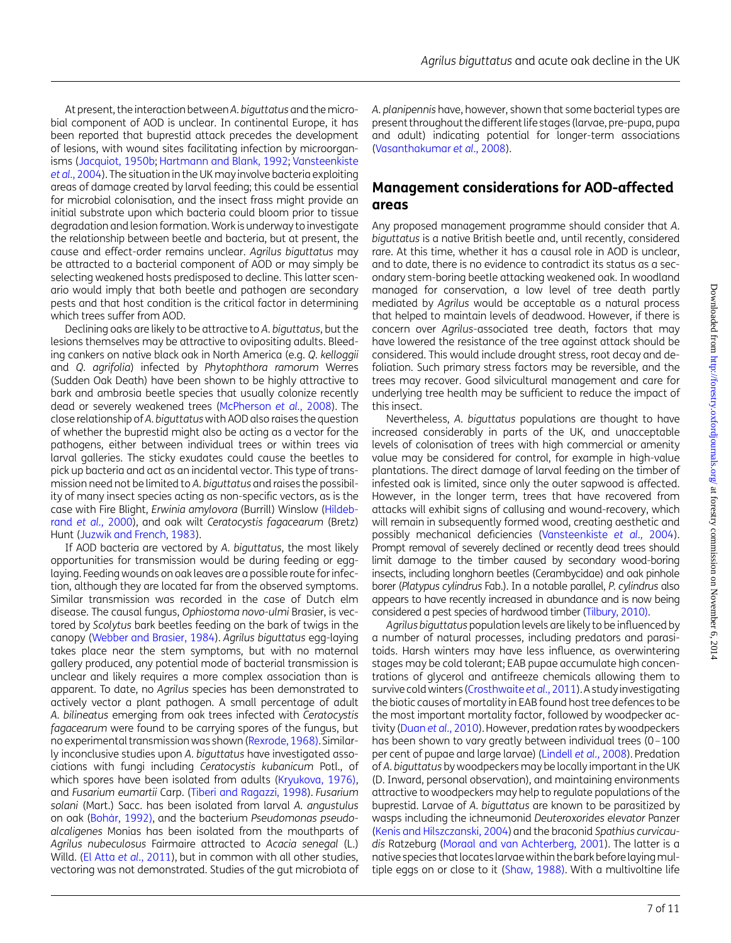At present, the interaction between A. biguttatus and the microbial component of AOD is unclear. In continental Europe, it has been reported that buprestid attack precedes the development of lesions, with wound sites facilitating infection by microorganisms ([Jacquiot, 1950b;](#page-9-0) [Hartmann and Blank, 1992](#page-9-0); [Vansteenkiste](#page-10-0) et al.[, 2004](#page-10-0)). The situation in the UK may involve bacteria exploiting areas of damage created by larval feeding; this could be essential for microbial colonisation, and the insect frass might provide an initial substrate upon which bacteria could bloom prior to tissue degradation and lesion formation.Work is underway to investigate the relationship between beetle and bacteria, but at present, the cause and effect-order remains unclear. Agrilus biguttatus may be attracted to a bacterial component of AOD or may simply be selecting weakened hosts predisposed to decline. This latter scenario would imply that both beetle and pathogen are secondary pests and that host condition is the critical factor in determining which trees suffer from AOD.

Declining oaks are likely to be attractive to A. biguttatus, but the lesions themselves may be attractive to ovipositing adults. Bleeding cankers on native black oak in North America (e.g. Q. kelloggii and Q. agrifolia) infected by Phytophthora ramorum Werres (Sudden Oak Death) have been shown to be highly attractive to bark and ambrosia beetle species that usually colonize recently dead or severely weakened trees [\(McPherson](#page-10-0) et al., 2008). The close relationship of A. biguttatus with AOD also raises the question of whether the buprestid might also be acting as a vector for the pathogens, either between individual trees or within trees via larval galleries. The sticky exudates could cause the beetles to pick up bacteria and act as an incidental vector. This type of transmission need not be limited to A. biguttatus and raises the possibility of many insect species acting as non-specific vectors, as is the case with Fire Blight, Erwinia amylovora (Burrill) Winslow [\(Hildeb](#page-9-0)rand et al.[, 2000](#page-9-0)), and oak wilt Ceratocystis fagacearum (Bretz) Hunt [\(Juzwik and French, 1983\)](#page-9-0).

If AOD bacteria are vectored by A. biguttatus, the most likely opportunities for transmission would be during feeding or egglaying. Feeding wounds on oak leaves are a possible route for infection, although they are located far from the observed symptoms. Similar transmission was recorded in the case of Dutch elm disease. The causal fungus, Ophiostoma novo-ulmi Brasier, is vectored by Scolytus bark beetles feeding on the bark of twigs in the canopy ([Webber and Brasier, 1984\)](#page-10-0). Agrilus biguttatus egg-laying takes place near the stem symptoms, but with no maternal gallery produced, any potential mode of bacterial transmission is unclear and likely requires a more complex association than is apparent. To date, no Agrilus species has been demonstrated to actively vector a plant pathogen. A small percentage of adult A. bilineatus emerging from oak trees infected with Ceratocystis fagacearum were found to be carrying spores of the fungus, but no experimental transmission was shown [\(Rexrode, 1968\).](#page-10-0)Similarly inconclusive studies upon A. biguttatus have investigated associations with fungi including Ceratocystis kubanicum Potl., of which spores have been isolated from adults [\(Kryukova, 1976\)](#page-9-0), and Fusarium eumartii Carp. ([Tiberi and Ragazzi, 1998](#page-10-0)). Fusarium solani (Mart.) Sacc. has been isolated from larval A. angustulus on oak (Bohàr, 1992), and the bacterium Pseudomonas pseudoalcaligenes Monias has been isolated from the mouthparts of Agrilus nubeculosus Fairmaire attracted to Acacia senegal (L.) Willd. ([El Atta](#page-9-0) et al., 2011), but in common with all other studies, vectoring was not demonstrated. Studies of the gut microbiota of Agrilus biguttatus and acute oak decline in the UK

A. planipennis have, however, shown that some bacterial types are present throughout the different life stages (larvae, pre-pupa, pupa and adult) indicating potential for longer-term associations ([Vasanthakumar](#page-10-0) et al., 2008).

#### Management considerations for AOD-affected areas

Any proposed management programme should consider that A. biguttatus is a native British beetle and, until recently, considered rare. At this time, whether it has a causal role in AOD is unclear, and to date, there is no evidence to contradict its status as a secondary stem-boring beetle attacking weakened oak. In woodland managed for conservation, a low level of tree death partly mediated by Agrilus would be acceptable as a natural process that helped to maintain levels of deadwood. However, if there is concern over Agrilus-associated tree death, factors that may have lowered the resistance of the tree against attack should be considered. This would include drought stress, root decay and defoliation. Such primary stress factors may be reversible, and the trees may recover. Good silvicultural management and care for underlying tree health may be sufficient to reduce the impact of this insect.

Nevertheless, A. biguttatus populations are thought to have increased considerably in parts of the UK, and unacceptable levels of colonisation of trees with high commercial or amenity value may be considered for control, for example in high-value plantations. The direct damage of larval feeding on the timber of infested oak is limited, since only the outer sapwood is affected. However, in the longer term, trees that have recovered from attacks will exhibit signs of callusing and wound-recovery, which will remain in subsequently formed wood, creating aesthetic and possibly mechanical deficiencies [\(Vansteenkiste](#page-10-0) et al., 2004). Prompt removal of severely declined or recently dead trees should limit damage to the timber caused by secondary wood-boring insects, including longhorn beetles (Cerambycidae) and oak pinhole borer (Platypus cylindrus Fab.). In a notable parallel, P. cylindrus also appears to have recently increased in abundance and is now being considered a pest species of hardwood timber [\(Tilbury, 2010\).](#page-10-0)

Agrilus biguttatus population levels are likely to be influenced by a number of natural processes, including predators and parasitoids. Harsh winters may have less influence, as overwintering stages may be cold tolerant; EAB pupae accumulate high concentrations of glycerol and antifreeze chemicals allowing them to survive cold winters [\(Crosthwaite](#page-8-0) et al., 2011). A study investigating the biotic causes of mortality in EAB found host tree defences to be the most important mortality factor, followed by woodpecker ac-tivity (Duan et al.[, 2010](#page-8-0)). However, predation rates by woodpeckers has been shown to vary greatly between individual trees (0-100 per cent of pupae and large larvae) [\(Lindell](#page-9-0) et al., 2008). Predation of A. biguttatus by woodpeckers may be locally important in the UK (D. Inward, personal observation), and maintaining environments attractive to woodpeckers may help to regulate populations of the buprestid. Larvae of A. biguttatus are known to be parasitized by wasps including the ichneumonid Deuteroxorides elevator Panzer ([Kenis and Hilszczanski, 2004\)](#page-9-0) and the braconid Spathius curvicaudis Ratzeburg [\(Moraal and van Achterberg, 2001\)](#page-10-0). The latter is a native species that locates larvaewithin the bark before layingmultiple eggs on or close to it [\(Shaw, 1988\)](#page-10-0). With a multivoltine life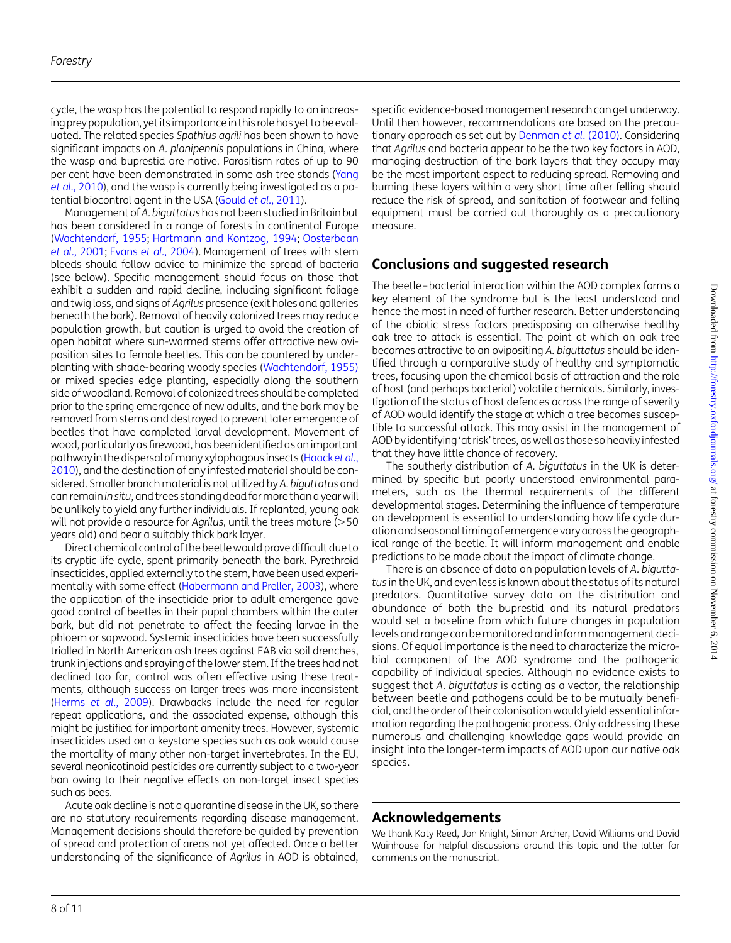cycle, the wasp has the potential to respond rapidly to an increasing prey population, yet its importance in this role has yet to be evaluated. The related species Spathius agrili has been shown to have significant impacts on A. planipennis populations in China, where the wasp and buprestid are native. Parasitism rates of up to 90 per cent have been demonstrated in some ash tree stands [\(Yang](#page-10-0) et al.[, 2010](#page-10-0)), and the wasp is currently being investigated as a potential biocontrol agent in the USA (Gould et al.[, 2011](#page-9-0)).

Management of A. biguttatus has not been studied in Britain but has been considered in a range of forests in continental Europe [\(Wachtendorf, 1955](#page-10-0); [Hartmann and Kontzog, 1994](#page-9-0); [Oosterbaan](#page-10-0) et al.[, 2001;](#page-10-0) Evans et al.[, 2004](#page-9-0)). Management of trees with stem bleeds should follow advice to minimize the spread of bacteria (see below). Specific management should focus on those that exhibit a sudden and rapid decline, including significant foliage and twig loss, and signs of Agrilus presence (exit holes and galleries beneath the bark). Removal of heavily colonized trees may reduce population growth, but caution is urged to avoid the creation of open habitat where sun-warmed stems offer attractive new oviposition sites to female beetles. This can be countered by underplanting with shade-bearing woody species ([Wachtendorf, 1955\)](#page-10-0) or mixed species edge planting, especially along the southern side of woodland. Removal of colonized trees should be completed prior to the spring emergence of new adults, and the bark may be removed from stems and destroyed to prevent later emergence of beetles that have completed larval development. Movement of wood, particularly as firewood, has been identified as an important pathway in the dispersal of many xylophagous insects ([Haack](#page-9-0)et al., [2010](#page-9-0)), and the destination of any infested material should be considered. Smaller branch material is not utilized by A. biguttatus and can remainin situ, and trees standing dead formore than a year will be unlikely to yield any further individuals. If replanted, young oak will not provide a resource for Agrilus, until the trees mature  $(>50$ years old) and bear a suitably thick bark layer.

Direct chemical control of the beetle would prove difficult due to its cryptic life cycle, spent primarily beneath the bark. Pyrethroid insecticides, applied externally to the stem, have been used experimentally with some effect [\(Habermann and Preller, 2003](#page-9-0)), where the application of the insecticide prior to adult emergence gave good control of beetles in their pupal chambers within the outer bark, but did not penetrate to affect the feeding larvae in the phloem or sapwood. Systemic insecticides have been successfully trialled in North American ash trees against EAB via soil drenches, trunk injections and spraying of the lower stem. If the trees had not declined too far, control was often effective using these treatments, although success on larger trees was more inconsistent (Herms et al.[, 2009](#page-9-0)). Drawbacks include the need for regular repeat applications, and the associated expense, although this might be justified for important amenity trees. However, systemic insecticides used on a keystone species such as oak would cause the mortality of many other non-target invertebrates. In the EU, several neonicotinoid pesticides are currently subject to a two-year ban owing to their negative effects on non-target insect species such as bees.

Acute oak decline is not a quarantine disease in the UK, so there are no statutory requirements regarding disease management. Management decisions should therefore be guided by prevention of spread and protection of areas not yet affected. Once a better understanding of the significance of Agrilus in AOD is obtained,

specific evidence-based management research can get underway. Until then however, recommendations are based on the precautionary approach as set out by [Denman](#page-8-0) et al. (2010). Considering that Agrilus and bacteria appear to be the two key factors in AOD, managing destruction of the bark layers that they occupy may be the most important aspect to reducing spread. Removing and burning these layers within a very short time after felling should reduce the risk of spread, and sanitation of footwear and felling equipment must be carried out thoroughly as a precautionary measure.

### Conclusions and suggested research

The beetle–bacterial interaction within the AOD complex forms a key element of the syndrome but is the least understood and hence the most in need of further research. Better understanding of the abiotic stress factors predisposing an otherwise healthy oak tree to attack is essential. The point at which an oak tree becomes attractive to an ovipositing A. biguttatus should be identified through a comparative study of healthy and symptomatic trees, focusing upon the chemical basis of attraction and the role of host (and perhaps bacterial) volatile chemicals. Similarly, investigation of the status of host defences across the range of severity of AOD would identify the stage at which a tree becomes susceptible to successful attack. This may assist in the management of AOD by identifying 'at risk' trees, as well as those so heavily infested that they have little chance of recovery.

The southerly distribution of A. biguttatus in the UK is determined by specific but poorly understood environmental parameters, such as the thermal requirements of the different developmental stages. Determining the influence of temperature on development is essential to understanding how life cycle duration and seasonal timing of emergence vary across the geographical range of the beetle. It will inform management and enable predictions to be made about the impact of climate change.

There is an absence of data on population levels of A. biguttatus in the UK, and even less is known about the status of its natural predators. Quantitative survey data on the distribution and abundance of both the buprestid and its natural predators would set a baseline from which future changes in population levels and range can bemonitored and informmanagement decisions. Of equal importance is the need to characterize the microbial component of the AOD syndrome and the pathogenic capability of individual species. Although no evidence exists to suggest that A. biguttatus is acting as a vector, the relationship between beetle and pathogens could be to be mutually beneficial, and the order of their colonisation would yield essential information regarding the pathogenic process. Only addressing these numerous and challenging knowledge gaps would provide an insight into the longer-term impacts of AOD upon our native oak species.

#### Acknowledgements

We thank Katy Reed, Jon Knight, Simon Archer, David Williams and David Wainhouse for helpful discussions around this topic and the latter for comments on the manuscript.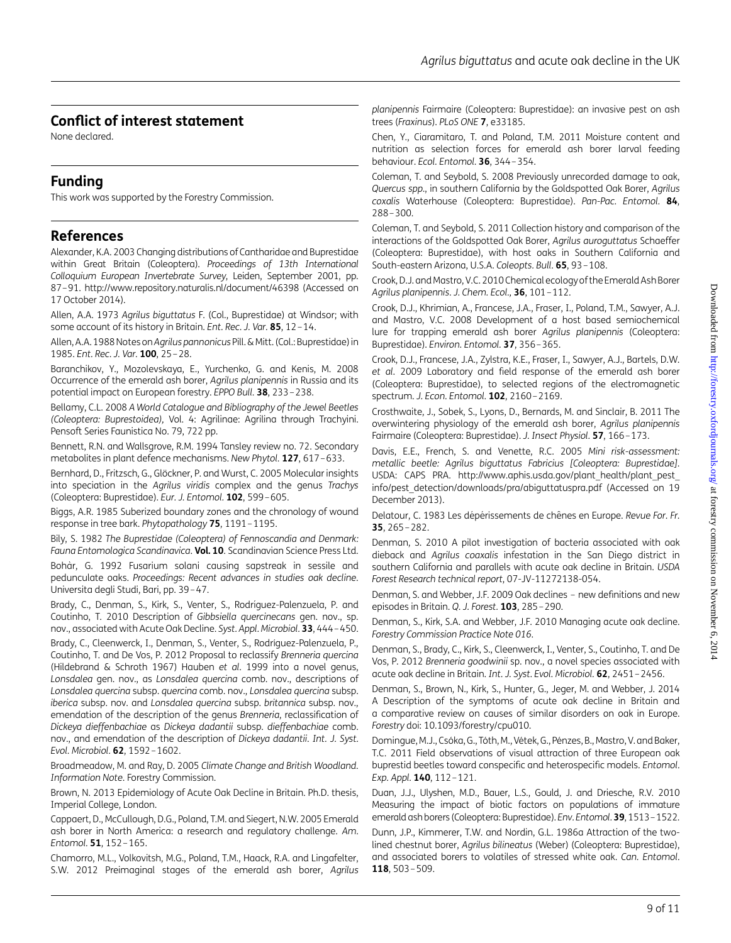# <span id="page-8-0"></span>Conflict of interest statement

None declared.

# Funding

This work was supported by the Forestry Commission.

### References

Alexander, K.A. 2003 Changing distributions of Cantharidae and Buprestidae within Great Britain (Coleoptera). Proceedings of 13th International Colloquium European Invertebrate Survey, Leiden, September 2001, pp. 87–91.<http://www.repository.naturalis.nl/document/46398> (Accessed on 17 October 2014).

Allen, A.A. 1973 Agrilus biguttatus F. (Col., Buprestidae) at Windsor; with some account of its history in Britain. Ent. Rec. J. Var. 85, 12-14.

Allen, A.A. 1988Notes onAgrilus pannonicus Pill.& Mitt. (Col.: Buprestidae) in 1985. Ent. Rec. J. Var. **100**, 25-28.

Baranchikov, Y., Mozolevskaya, E., Yurchenko, G. and Kenis, M. 2008 Occurrence of the emerald ash borer, Agrilus planipennis in Russia and its potential impact on European forestry. EPPO Bull. 38, 233–238.

Bellamy, C.L. 2008 AWorld Catalogue and Bibliography of the Jewel Beetles (Coleoptera: Buprestoidea), Vol. 4: Agrilinae: Agrilina through Trachyini. Pensoft Series Faunistica No. 79, 722 pp.

Bennett, R.N. and Wallsgrove, R.M. 1994 Tansley review no. 72. Secondary metabolites in plant defence mechanisms. New Phytol. 127, 617–633.

Bernhard, D., Fritzsch, G., Glöckner, P. and Wurst, C. 2005 Molecular insights into speciation in the Agrilus viridis complex and the genus Trachys (Coleoptera: Buprestidae). Eur. J. Entomol. 102, 599–605.

Biggs, A.R. 1985 Suberized boundary zones and the chronology of wound response in tree bark. Phytopathology 75, 1191–1195.

Bily, S. 1982 The Buprestidae (Coleoptera) of Fennoscandia and Denmark: Fauna Entomologica Scandinavica. Vol. 10. Scandinavian Science Press Ltd.

Bohàr, G. 1992 Fusarium solani causing sapstreak in sessile and pedunculate oaks. Proceedings: Recent advances in studies oak decline. Universita degli Studi, Bari, pp. 39–47.

Brady, C., Denman, S., Kirk, S., Venter, S., Rodríguez-Palenzuela, P. and Coutinho, T. 2010 Description of Gibbsiella quercinecans gen. nov., sp. nov., associated with Acute Oak Decline. Syst. Appl. Microbiol. 33, 444–450.

Brady, C., Cleenwerck, I., Denman, S., Venter, S., Rodríguez-Palenzuela, P., Coutinho, T. and De Vos, P. 2012 Proposal to reclassify Brenneria quercina (Hildebrand & Schroth 1967) Hauben et al. 1999 into a novel genus, Lonsdalea gen. nov., as Lonsdalea quercina comb. nov., descriptions of Lonsdalea quercina subsp. quercina comb. nov., Lonsdalea quercina subsp. iberica subsp. nov. and Lonsdalea quercina subsp. britannica subsp. nov., emendation of the description of the genus Brenneria, reclassification of Dickeya dieffenbachiae as Dickeya dadantii subsp. dieffenbachiae comb. nov., and emendation of the description of Dickeya dadantii. Int. J. Syst. Evol. Microbiol. 62, 1592 –1602.

Broadmeadow, M. and Ray, D. 2005 Climate Change and British Woodland. Information Note. Forestry Commission.

Brown, N. 2013 Epidemiology of Acute Oak Decline in Britain. Ph.D. thesis, Imperial College, London.

Cappaert, D., McCullough, D.G., Poland, T.M. and Siegert, N.W. 2005 Emerald ash borer in North America: a research and regulatory challenge. Am. Entomol. 51, 152–165.

Chamorro, M.L., Volkovitsh, M.G., Poland, T.M., Haack, R.A. and Lingafelter, S.W. 2012 Preimaginal stages of the emerald ash borer, Agrilus planipennis Fairmaire (Coleoptera: Buprestidae): an invasive pest on ash trees (Fraxinus). PLoS ONE 7, e33185.

Chen, Y., Ciaramitaro, T. and Poland, T.M. 2011 Moisture content and nutrition as selection forces for emerald ash borer larval feeding behaviour. Ecol. Entomol. 36, 344–354.

Coleman, T. and Seybold, S. 2008 Previously unrecorded damage to oak, Quercus spp., in southern California by the Goldspotted Oak Borer, Agrilus coxalis Waterhouse (Coleoptera: Buprestidae). Pan-Pac. Entomol. 84, 288–300.

Coleman, T. and Seybold, S. 2011 Collection history and comparison of the interactions of the Goldspotted Oak Borer, Agrilus auroguttatus Schaeffer (Coleoptera: Buprestidae), with host oaks in Southern California and South-eastern Arizona, U.S.A. Coleopts. Bull. 65, 93 –108.

Crook, D.J. and Mastro, V.C. 2010 Chemical ecologyof the Emerald Ash Borer Agrilus planipennis. J. Chem. Ecol., 36, 101-112.

Crook, D.J., Khrimian, A., Francese, J.A., Fraser, I., Poland, T.M., Sawyer, A.J. and Mastro, V.C. 2008 Development of a host based semiochemical lure for trapping emerald ash borer Agrilus planipennis (Coleoptera: Buprestidae). Environ. Entomol. 37, 356–365.

Crook, D.J., Francese, J.A., Zylstra, K.E., Fraser, I., Sawyer, A.J., Bartels, D.W. et al. 2009 Laboratory and field response of the emerald ash borer (Coleoptera: Buprestidae), to selected regions of the electromagnetic spectrum. J. Econ. Entomol. **102**, 2160-2169.

Crosthwaite, J., Sobek, S., Lyons, D., Bernards, M. and Sinclair, B. 2011 The overwintering physiology of the emerald ash borer, Agrilus planipennis Fairmaire (Coleoptera: Buprestidae). J. Insect Physiol. 57, 166–173.

Davis, E.E., French, S. and Venette, R.C. 2005 Mini risk-assessment: metallic beetle: Agrilus biguttatus Fabricius [Coleoptera: Buprestidae]. USDA: CAPS PRA. [http://www.aphis.usda.gov/plant\\_health/plant\\_pest\\_](http://www.aphis.usda.gov/plant_health/plant_pest_info/pest_detection/downloads/pra/abiguttatuspra.pdf) [info/pest\\_detection/downloads/pra/abiguttatuspra.pdf](http://www.aphis.usda.gov/plant_health/plant_pest_info/pest_detection/downloads/pra/abiguttatuspra.pdf) (Accessed on 19 December 2013).

Delatour, C. 1983 Les dépérissements de chênes en Europe. Revue For. Fr. 35, 265–282.

Denman, S. 2010 A pilot investigation of bacteria associated with oak dieback and Agrilus coaxalis infestation in the San Diego district in southern California and parallels with acute oak decline in Britain. USDA Forest Research technical report, 07-JV-11272138-054.

Denman, S. and Webber, J.F. 2009 Oak declines – new definitions and new episodes in Britain. Q. J. Forest. 103, 285–290.

Denman, S., Kirk, S.A. and Webber, J.F. 2010 Managing acute oak decline. Forestry Commission Practice Note 016.

Denman, S., Brady, C., Kirk, S., Cleenwerck, I., Venter, S., Coutinho, T. and De Vos, P. 2012 Brenneria goodwinii sp. nov., a novel species associated with acute oak decline in Britain. Int. J. Syst. Evol. Microbiol. 62, 2451–2456.

Denman, S., Brown, N., Kirk, S., Hunter, G., Jeger, M. and Webber, J. 2014 A Description of the symptoms of acute oak decline in Britain and a comparative review on causes of similar disorders on oak in Europe. Forestry doi: 10.1093/forestry/cpu010.

Domingue, M.J., Csóka, G., Tóth, M., Vétek, G., Pénzes, B., Mastro, V. and Baker, T.C. 2011 Field observations of visual attraction of three European oak buprestid beetles toward conspecific and heterospecific models. Entomol. Exp. Appl. 140, 112–121.

Duan, J.J., Ulyshen, M.D., Bauer, L.S., Gould, J. and Driesche, R.V. 2010 Measuring the impact of biotic factors on populations of immature emerald ash borers (Coleoptera: Buprestidae). Env. Entomol. 39, 1513-1522.

Dunn, J.P., Kimmerer, T.W. and Nordin, G.L. 1986a Attraction of the twolined chestnut borer, Agrilus bilineatus (Weber) (Coleoptera: Buprestidae), and associated borers to volatiles of stressed white oak. Can. Entomol. 118, 503–509.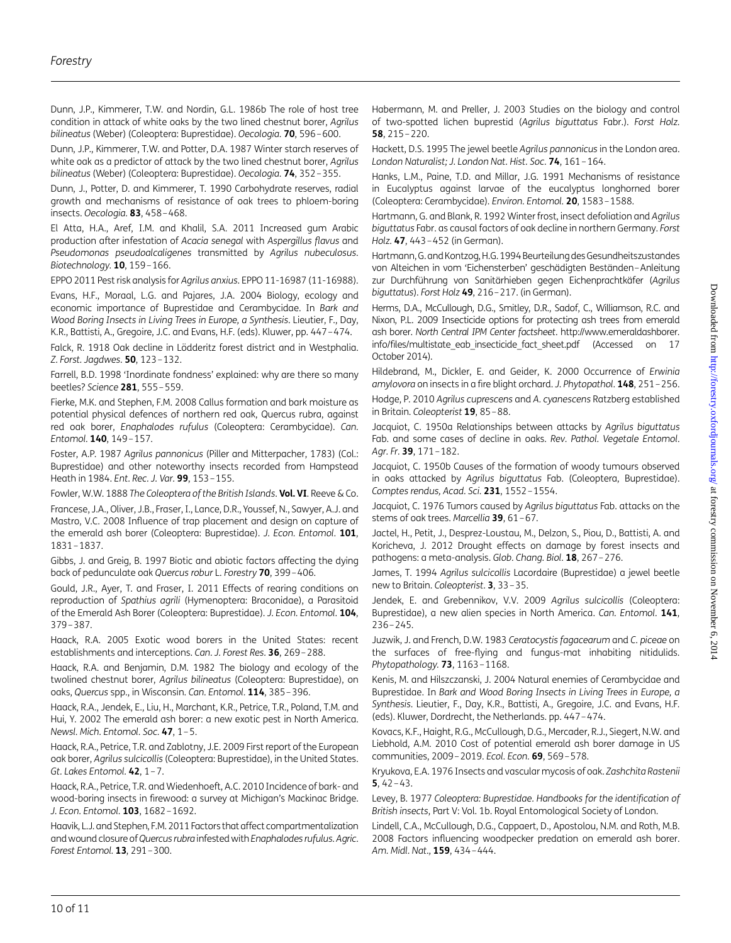<span id="page-9-0"></span>Dunn, J.P., Kimmerer, T.W. and Nordin, G.L. 1986b The role of host tree condition in attack of white oaks by the two lined chestnut borer, Agrilus bilineatus (Weber) (Coleoptera: Buprestidae). Oecologia. 70, 596–600.

Dunn, J.P., Kimmerer, T.W. and Potter, D.A. 1987 Winter starch reserves of white oak as a predictor of attack by the two lined chestnut borer, Agrilus bilineatus (Weber) (Coleoptera: Buprestidae). Oecologia. 74, 352–355.

Dunn, J., Potter, D. and Kimmerer, T. 1990 Carbohydrate reserves, radial growth and mechanisms of resistance of oak trees to phloem-boring insects. Oecologia. 83, 458–468.

El Atta, H.A., Aref, I.M. and Khalil, S.A. 2011 Increased gum Arabic production after infestation of Acacia senegal with Aspergillus flavus and Pseudomonas pseudoalcaligenes transmitted by Agrilus nubeculosus. Biotechnology. 10, 159-166.

EPPO 2011 Pest risk analysis for Agrilus anxius. EPPO 11-16987 (11-16988).

Evans, H.F., Moraal, L.G. and Pajares, J.A. 2004 Biology, ecology and economic importance of Buprestidae and Cerambycidae. In Bark and Wood Boring Insects in Living Trees in Europe, a Synthesis. Lieutier, F., Day, K.R., Battisti, A., Gregoire, J.C. and Evans, H.F. (eds). Kluwer, pp. 447–474.

Falck, R. 1918 Oak decline in Lödderitz forest district and in Westphalia. Z. Forst. Jagdwes. 50, 123–132.

Farrell, B.D. 1998 'Inordinate fondness' explained: why are there so many beetles? Science 281, 555–559.

Fierke, M.K. and Stephen, F.M. 2008 Callus formation and bark moisture as potential physical defences of northern red oak, Quercus rubra, against red oak borer, Enaphalodes rufulus (Coleoptera: Cerambycidae). Can. Entomol. 140, 149–157.

Foster, A.P. 1987 Agrilus pannonicus (Piller and Mitterpacher, 1783) (Col.: Buprestidae) and other noteworthy insects recorded from Hampstead Heath in 1984. Ent. Rec. J. Var. 99, 153–155.

Fowler, W.W. 1888 The Coleoptera of the British Islands. Vol. VI. Reeve & Co.

Francese, J.A., Oliver, J.B., Fraser, I., Lance, D.R., Youssef, N., Sawyer, A.J. and Mastro, V.C. 2008 Influence of trap placement and design on capture of the emerald ash borer (Coleoptera: Buprestidae). J. Econ. Entomol. 101, 1831–1837.

Gibbs, J. and Greig, B. 1997 Biotic and abiotic factors affecting the dying back of pedunculate oak Quercus robur L. Forestry 70, 399–406.

Gould, J.R., Ayer, T. and Fraser, I. 2011 Effects of rearing conditions on reproduction of Spathius agrili (Hymenoptera: Braconidae), a Parasitoid of the Emerald Ash Borer (Coleoptera: Buprestidae). J. Econ. Entomol. 104, 379–387.

Haack, R.A. 2005 Exotic wood borers in the United States: recent establishments and interceptions. Can. J. Forest Res. 36, 269–288.

Haack, R.A. and Benjamin, D.M. 1982 The biology and ecology of the twolined chestnut borer, Agrilus bilineatus (Coleoptera: Buprestidae), on oaks, Quercus spp., in Wisconsin. Can. Entomol. 114, 385–396.

Haack, R.A., Jendek, E., Liu, H., Marchant, K.R., Petrice, T.R., Poland, T.M. and Hui, Y. 2002 The emerald ash borer: a new exotic pest in North America. Newsl. Mich. Entomol. Soc. 47, 1–5.

Haack, R.A., Petrice, T.R. and Zablotny, J.E. 2009 First report of the European oak borer, Agrilus sulcicollis (Coleoptera: Buprestidae), in the United States. Gt. Lakes Entomol. 42, 1–7.

Haack, R.A., Petrice, T.R. and Wiedenhoeft, A.C. 2010 Incidence of bark- and wood-boring insects in firewood: a survey at Michigan's Mackinac Bridge. J. Econ. Entomol. **103**, 1682-1692.

Haavik, L.J. and Stephen, F.M. 2011 Factors that affect compartmentalization and wound closure of Quercus rubra infested with Enaphalodes rufulus. Agric. Forest Entomol. 13, 291–300.

Habermann, M. and Preller, J. 2003 Studies on the biology and control of two-spotted lichen buprestid (Agrilus biguttatus Fabr.). Forst Holz. 58, 215–220.

Hackett, D.S. 1995 The jewel beetle Agrilus pannonicus in the London area. London Naturalist; J. London Nat. Hist. Soc. 74, 161–164.

Hanks, L.M., Paine, T.D. and Millar, J.G. 1991 Mechanisms of resistance in Eucalyptus against larvae of the eucalyptus longhorned borer (Coleoptera: Cerambycidae). Environ. Entomol. 20, 1583 –1588.

Hartmann, G. and Blank, R. 1992 Winter frost, insect defoliation and Agrilus biguttatus Fabr. as causal factors of oak decline in northern Germany. Forst Holz. 47, 443–452 (in German).

Hartmann,G. and Kontzog, H.G. 1994 Beurteilung des Gesundheitszustandes von Alteichen in vom 'Eichensterben' geschädigten Beständen-Anleitung zur Durchführung von Sanitärhieben gegen Eichenprachtkäfer (Agrilus biguttatus). Forst Holz 49, 216-217. (in German).

Herms, D.A., McCullough, D.G., Smitley, D.R., Sadof, C., Williamson, R.C. and Nixon, P.L. 2009 Insecticide options for protecting ash trees from emerald ash borer. North Central IPM Center factsheet. [http://www.emeraldashborer.](http://www.emeraldashborer.info/files/multistate_eab_insecticide_fact_sheet.pdf) [info/files/multistate\\_eab\\_insecticide\\_fact\\_sheet.pdf](http://www.emeraldashborer.info/files/multistate_eab_insecticide_fact_sheet.pdf) (Accessed on 17 October 2014).

Hildebrand, M., Dickler, E. and Geider, K. 2000 Occurrence of Erwinia amylovora on insects in a fire blight orchard. J. Phytopathol. **148**, 251-256.

Hodge, P. 2010 Agrilus cuprescens and A. cyanescens Ratzberg established in Britain. Coleopterist 19, 85–88.

Jacquiot, C. 1950a Relationships between attacks by Agrilus biguttatus Fab. and some cases of decline in oaks. Rev. Pathol. Vegetale Entomol. Agr. Fr. 39, 171-182.

Jacquiot, C. 1950b Causes of the formation of woody tumours observed in oaks attacked by Agrilus biguttatus Fab. (Coleoptera, Buprestidae). Comptes rendus, Acad. Sci. 231, 1552-1554.

Jacquiot, C. 1976 Tumors caused by Agrilus biguttatus Fab. attacks on the stems of oak trees. Marcellia 39, 61-67.

Jactel, H., Petit, J., Desprez-Loustau, M., Delzon, S., Piou, D., Battisti, A. and Koricheva, J. 2012 Drought effects on damage by forest insects and pathogens: a meta-analysis. Glob. Chang. Biol. 18, 267–276.

James, T. 1994 Agrilus sulcicollis Lacordaire (Buprestidae) a jewel beetle new to Britain. Coleopterist. 3, 33–35.

Jendek, E. and Grebennikov, V.V. 2009 Agrilus sulcicollis (Coleoptera: Buprestidae), a new alien species in North America. Can. Entomol. 141, 236–245.

Juzwik, J. and French, D.W. 1983 Ceratocystis fagacearum and C. piceae on the surfaces of free-flying and fungus-mat inhabiting nitidulids. Phytopathology. 73, 1163-1168.

Kenis, M. and Hilszczanski, J. 2004 Natural enemies of Cerambycidae and Buprestidae. In Bark and Wood Boring Insects in Living Trees in Europe, a Synthesis. Lieutier, F., Day, K.R., Battisti, A., Gregoire, J.C. and Evans, H.F. (eds). Kluwer, Dordrecht, the Netherlands. pp. 447–474.

Kovacs, K.F., Haight, R.G., McCullough, D.G., Mercader, R.J., Siegert, N.W. and Liebhold, A.M. 2010 Cost of potential emerald ash borer damage in US communities, 2009 –2019. Ecol. Econ. 69, 569–578.

Kryukova, E.A. 1976 Insects and vascular mycosis of oak. Zashchita Rastenii  $5, 42-43.$ 

Levey, B. 1977 Coleoptera: Buprestidae. Handbooks for the identification of British insects, Part V: Vol. 1b. Royal Entomological Society of London.

Lindell, C.A., McCullough, D.G., Cappaert, D., Apostolou, N.M. and Roth, M.B. 2008 Factors influencing woodpecker predation on emerald ash borer. Am. Midl. Nat., 159, 434–444.